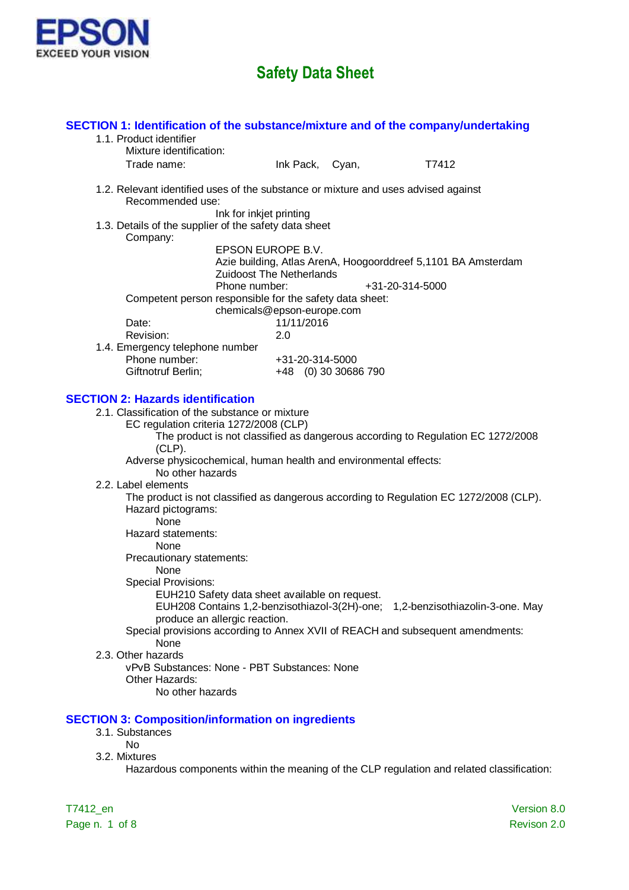

| SECTION 1: Identification of the substance/mixture and of the company/undertaking<br>1.1. Product identifier |                                                                       |                                         |                                                                                           |  |
|--------------------------------------------------------------------------------------------------------------|-----------------------------------------------------------------------|-----------------------------------------|-------------------------------------------------------------------------------------------|--|
| Mixture identification:                                                                                      |                                                                       |                                         |                                                                                           |  |
| Trade name:                                                                                                  |                                                                       | Ink Pack, Cyan,                         | T7412                                                                                     |  |
| 1.2. Relevant identified uses of the substance or mixture and uses advised against<br>Recommended use:       | Ink for inkjet printing                                               |                                         |                                                                                           |  |
| 1.3. Details of the supplier of the safety data sheet<br>Company:                                            |                                                                       |                                         |                                                                                           |  |
|                                                                                                              | EPSON EUROPE B.V.<br><b>Zuidoost The Netherlands</b><br>Phone number: |                                         | Azie building, Atlas ArenA, Hoogoorddreef 5,1101 BA Amsterdam<br>+31-20-314-5000          |  |
| Competent person responsible for the safety data sheet:<br>Date:                                             | chemicals@epson-europe.com<br>11/11/2016                              |                                         |                                                                                           |  |
| Revision:                                                                                                    | 2.0                                                                   |                                         |                                                                                           |  |
| 1.4. Emergency telephone number                                                                              |                                                                       |                                         |                                                                                           |  |
| Phone number:<br>Giftnotruf Berlin;                                                                          |                                                                       | +31-20-314-5000<br>+48 (0) 30 30686 790 |                                                                                           |  |
|                                                                                                              |                                                                       |                                         |                                                                                           |  |
| <b>SECTION 2: Hazards identification</b>                                                                     |                                                                       |                                         |                                                                                           |  |
| 2.1. Classification of the substance or mixture<br>EC regulation criteria 1272/2008 (CLP)<br>$(CLP)$ .       |                                                                       |                                         | The product is not classified as dangerous according to Regulation EC 1272/2008           |  |
| Adverse physicochemical, human health and environmental effects:<br>No other hazards                         |                                                                       |                                         |                                                                                           |  |
| 2.2. Label elements                                                                                          |                                                                       |                                         |                                                                                           |  |
| Hazard pictograms:<br><b>None</b>                                                                            |                                                                       |                                         | The product is not classified as dangerous according to Regulation EC 1272/2008 (CLP).    |  |
| Hazard statements:                                                                                           |                                                                       |                                         |                                                                                           |  |
| None                                                                                                         |                                                                       |                                         |                                                                                           |  |
| Precautionary statements:<br><b>None</b>                                                                     |                                                                       |                                         |                                                                                           |  |
| <b>Special Provisions:</b>                                                                                   |                                                                       |                                         |                                                                                           |  |
|                                                                                                              | EUH210 Safety data sheet available on request.                        |                                         | EUH208 Contains 1,2-benzisothiazol-3(2H)-one; 1,2-benzisothiazolin-3-one. May             |  |
|                                                                                                              | produce an allergic reaction.                                         |                                         |                                                                                           |  |
|                                                                                                              |                                                                       |                                         | Special provisions according to Annex XVII of REACH and subsequent amendments:            |  |
| None<br>2.3. Other hazards                                                                                   |                                                                       |                                         |                                                                                           |  |
| vPvB Substances: None - PBT Substances: None                                                                 |                                                                       |                                         |                                                                                           |  |
| Other Hazards:<br>No other hazards                                                                           |                                                                       |                                         |                                                                                           |  |
|                                                                                                              |                                                                       |                                         |                                                                                           |  |
| <b>SECTION 3: Composition/information on ingredients</b><br>3.1. Substances<br><b>No</b>                     |                                                                       |                                         |                                                                                           |  |
| 3.2. Mixtures                                                                                                |                                                                       |                                         |                                                                                           |  |
|                                                                                                              |                                                                       |                                         | Hazardous components within the meaning of the CLP regulation and related classification: |  |
|                                                                                                              |                                                                       |                                         |                                                                                           |  |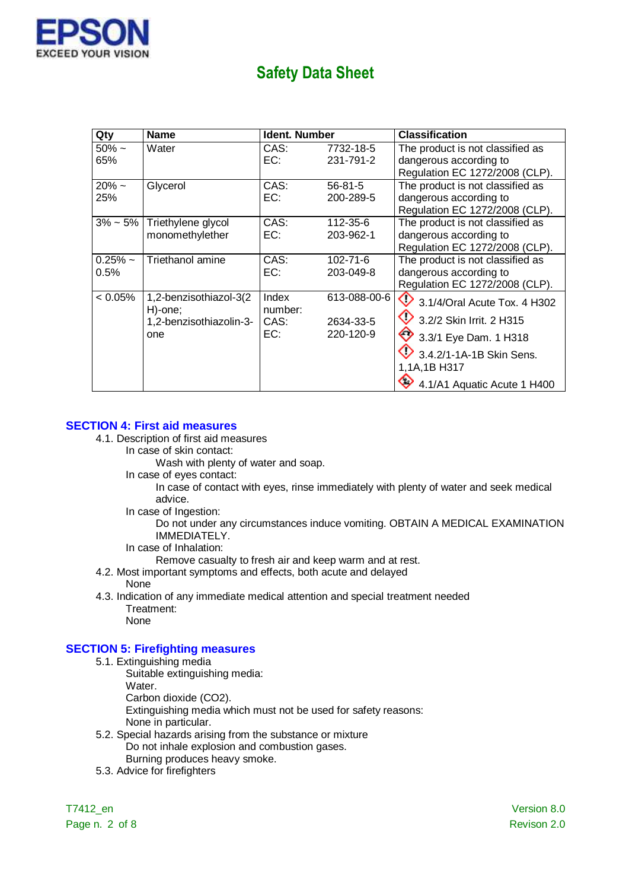

| Qty                | <b>Name</b>                                                         | Ident. Number                   |                                        | Classification                                                                                                                                                                           |
|--------------------|---------------------------------------------------------------------|---------------------------------|----------------------------------------|------------------------------------------------------------------------------------------------------------------------------------------------------------------------------------------|
| $50\% \sim$<br>65% | Water                                                               | CAS:<br>EC:                     | 7732-18-5<br>231-791-2                 | The product is not classified as<br>dangerous according to<br>Regulation EC 1272/2008 (CLP).                                                                                             |
| $20\% \sim$<br>25% | Glycerol                                                            | CAS:<br>EC:                     | $56 - 81 - 5$<br>200-289-5             | The product is not classified as<br>dangerous according to<br>Regulation EC 1272/2008 (CLP).                                                                                             |
| $3\% \sim 5\%$     | Triethylene glycol<br>monomethylether                               | CAS:<br>EC:                     | 112-35-6<br>203-962-1                  | The product is not classified as<br>dangerous according to<br>Regulation EC 1272/2008 (CLP).                                                                                             |
| $0.25%$ ~<br>0.5%  | Triethanol amine                                                    | CAS:<br>EC:                     | $102 - 71 - 6$<br>203-049-8            | The product is not classified as<br>dangerous according to<br>Regulation EC 1272/2008 (CLP).                                                                                             |
| $< 0.05\%$         | 1,2-benzisothiazol-3(2<br>H)-one;<br>1,2-benzisothiazolin-3-<br>one | Index<br>number:<br>CAS:<br>EC: | 613-088-00-6<br>2634-33-5<br>220-120-9 | $\bigcirc$ 3.1/4/Oral Acute Tox. 4 H302<br>3.2/2 Skin Irrit. 2 H315<br>$\bigotimes$ 3.3/1 Eye Dam. 1 H318<br>$9$ 3.4.2/1-1A-1B Skin Sens.<br>1,1A,1B H317<br>4.1/A1 Aquatic Acute 1 H400 |

#### **SECTION 4: First aid measures**

- 4.1. Description of first aid measures
	- In case of skin contact:

Wash with plenty of water and soap.

In case of eyes contact:

In case of contact with eyes, rinse immediately with plenty of water and seek medical advice.

In case of Ingestion:

Do not under any circumstances induce vomiting. OBTAIN A MEDICAL EXAMINATION IMMEDIATELY.

In case of Inhalation:

Remove casualty to fresh air and keep warm and at rest.

- 4.2. Most important symptoms and effects, both acute and delayed None
- 4.3. Indication of any immediate medical attention and special treatment needed Treatment: None

#### **SECTION 5: Firefighting measures**

- 5.1. Extinguishing media
	- Suitable extinguishing media:
		- Water.

Carbon dioxide (CO2).

Extinguishing media which must not be used for safety reasons:

- None in particular.
- 5.2. Special hazards arising from the substance or mixture Do not inhale explosion and combustion gases. Burning produces heavy smoke.
- 5.3. Advice for firefighters

Page n. 2 of 8 Revison 2.0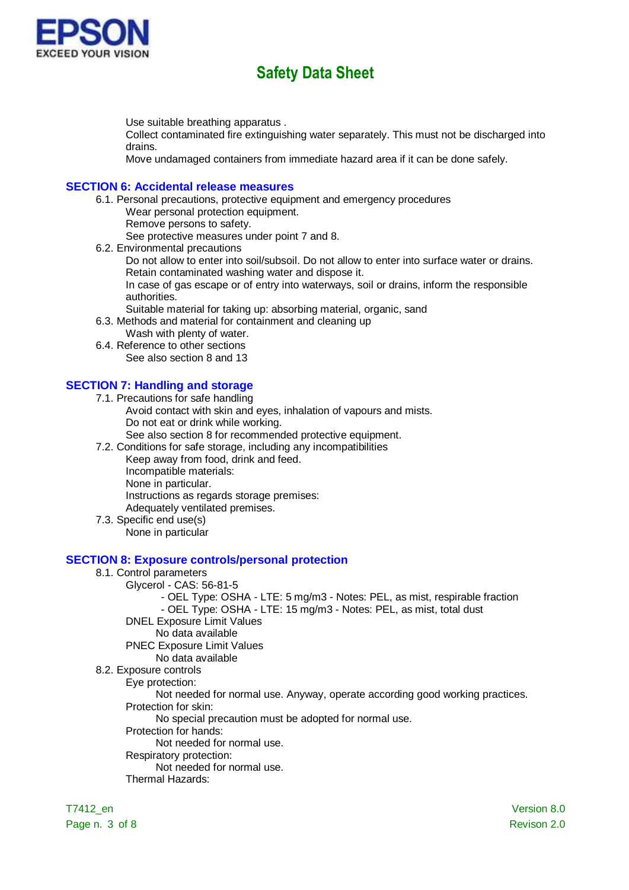

Use suitable breathing apparatus .

Collect contaminated fire extinguishing water separately. This must not be discharged into drains.

Move undamaged containers from immediate hazard area if it can be done safely.

#### **SECTION 6: Accidental release measures**

6.1. Personal precautions, protective equipment and emergency procedures Wear personal protection equipment.

Remove persons to safety. See protective measures under point 7 and 8.

6.2. Environmental precautions

Do not allow to enter into soil/subsoil. Do not allow to enter into surface water or drains. Retain contaminated washing water and dispose it.

In case of gas escape or of entry into waterways, soil or drains, inform the responsible authorities.

Suitable material for taking up: absorbing material, organic, sand

6.3. Methods and material for containment and cleaning up

Wash with plenty of water.

6.4. Reference to other sections See also section 8 and 13

#### **SECTION 7: Handling and storage**

7.1. Precautions for safe handling

- Avoid contact with skin and eyes, inhalation of vapours and mists. Do not eat or drink while working.
	- See also section 8 for recommended protective equipment.
- 7.2. Conditions for safe storage, including any incompatibilities

Keep away from food, drink and feed.

Incompatible materials:

None in particular.

Instructions as regards storage premises:

Adequately ventilated premises.

7.3. Specific end use(s)

None in particular

#### **SECTION 8: Exposure controls/personal protection**

### 8.1. Control parameters

- Glycerol CAS: 56-81-5
	- OEL Type: OSHA LTE: 5 mg/m3 Notes: PEL, as mist, respirable fraction
	- OEL Type: OSHA LTE: 15 mg/m3 Notes: PEL, as mist, total dust
	- DNEL Exposure Limit Values
		- No data available

#### PNEC Exposure Limit Values

No data available

8.2. Exposure controls

Eye protection:

Not needed for normal use. Anyway, operate according good working practices. Protection for skin:

No special precaution must be adopted for normal use.

Protection for hands:

Not needed for normal use.

Respiratory protection:

Not needed for normal use.

Thermal Hazards:

Page n. 3 of 8 Revison 2.0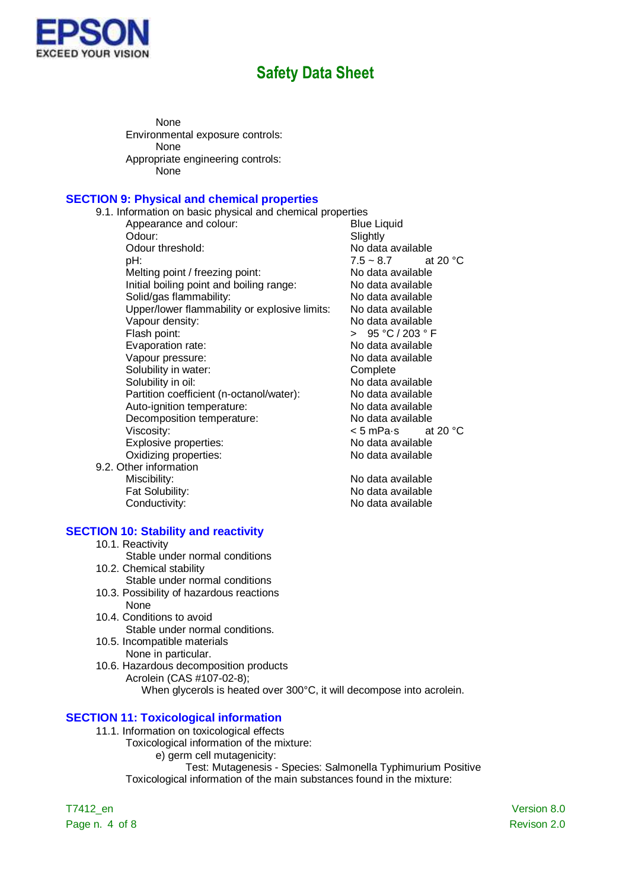

None Environmental exposure controls: None Appropriate engineering controls: None

#### **SECTION 9: Physical and chemical properties**

9.1. Information on basic physical and chemical properties Appearance and colour: Odour: Slightly<br>
Odour threshold: Solow No data pH:  $7.5 \sim 8.7$  at 20 °C Melting point / freezing point: No data available Initial boiling point and boiling range: No data available Solid/gas flammability: No data available Upper/lower flammability or explosive limits: No data available Vapour density:<br>
Flash point: 2003 ° Flash point: 2003 ° Flash point: Evaporation rate:<br>
Vapour pressure:<br>
Vapour pressure:<br>
Vapour pressure: Vapour pressure: Solubility in water: Complete Solubility in oil: No data available Partition coefficient (n-octanol/water): No data available Auto-ignition temperature: No data available Decomposition temperature: No data available Viscosity:  $\leq$  5 mPa·s at 20 °C Explosive properties: No data available Oxidizing properties: No data available 9.2. Other information<br>Miscibility:

No data available  $> 95 °C / 203 °F$ 

No data available Fat Solubility: No data available Conductivity: Conductivity: No data available

#### **SECTION 10: Stability and reactivity**

- 10.1. Reactivity
- Stable under normal conditions
- 10.2. Chemical stability
	- Stable under normal conditions
- 10.3. Possibility of hazardous reactions None
- 10.4. Conditions to avoid Stable under normal conditions.
- 10.5. Incompatible materials None in particular.
- 10.6. Hazardous decomposition products Acrolein (CAS #107-02-8); When glycerols is heated over 300°C, it will decompose into acrolein.

#### **SECTION 11: Toxicological information**

- 11.1. Information on toxicological effects
	- Toxicological information of the mixture:
		- e) germ cell mutagenicity:

Test: Mutagenesis - Species: Salmonella Typhimurium Positive Toxicological information of the main substances found in the mixture:

Page n. 4 of 8 Revison 2.0

T7412\_en Version 8.0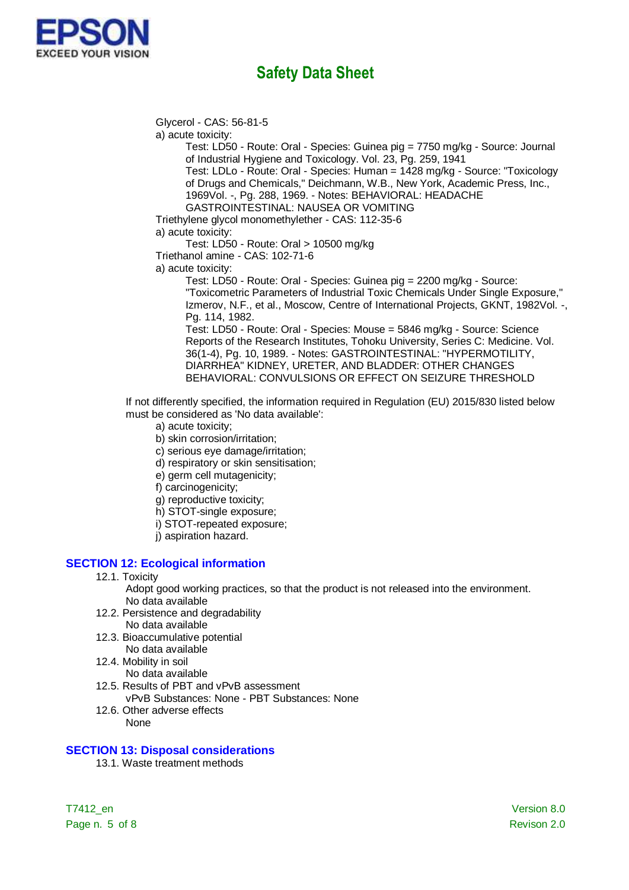

Glycerol - CAS: 56-81-5

a) acute toxicity:

Test: LD50 - Route: Oral - Species: Guinea pig = 7750 mg/kg - Source: Journal of Industrial Hygiene and Toxicology. Vol. 23, Pg. 259, 1941 Test: LDLo - Route: Oral - Species: Human = 1428 mg/kg - Source: "Toxicology of Drugs and Chemicals," Deichmann, W.B., New York, Academic Press, Inc., 1969Vol. -, Pg. 288, 1969. - Notes: BEHAVIORAL: HEADACHE

GASTROINTESTINAL: NAUSEA OR VOMITING

Triethylene glycol monomethylether - CAS: 112-35-6

a) acute toxicity:

Test: LD50 - Route: Oral > 10500 mg/kg

Triethanol amine - CAS: 102-71-6

a) acute toxicity:

Test: LD50 - Route: Oral - Species: Guinea pig = 2200 mg/kg - Source: "Toxicometric Parameters of Industrial Toxic Chemicals Under Single Exposure," Izmerov, N.F., et al., Moscow, Centre of International Projects, GKNT, 1982Vol. -, Pg. 114, 1982.

Test: LD50 - Route: Oral - Species: Mouse = 5846 mg/kg - Source: Science Reports of the Research Institutes, Tohoku University, Series C: Medicine. Vol. 36(1-4), Pg. 10, 1989. - Notes: GASTROINTESTINAL: "HYPERMOTILITY, DIARRHEA" KIDNEY, URETER, AND BLADDER: OTHER CHANGES BEHAVIORAL: CONVULSIONS OR EFFECT ON SEIZURE THRESHOLD

If not differently specified, the information required in Regulation (EU) 2015/830 listed below must be considered as 'No data available':

- a) acute toxicity;
- b) skin corrosion/irritation;
- c) serious eye damage/irritation;
- d) respiratory or skin sensitisation;
- e) germ cell mutagenicity;
- f) carcinogenicity;
- g) reproductive toxicity;
- h) STOT-single exposure;
- i) STOT-repeated exposure;
- j) aspiration hazard.

### **SECTION 12: Ecological information**

#### 12.1. Toxicity

Adopt good working practices, so that the product is not released into the environment. No data available

- 12.2. Persistence and degradability No data available
- 12.3. Bioaccumulative potential No data available
- 12.4. Mobility in soil No data available
- 12.5. Results of PBT and vPvB assessment
	- vPvB Substances: None PBT Substances: None
- 12.6. Other adverse effects None

### **SECTION 13: Disposal considerations**

13.1. Waste treatment methods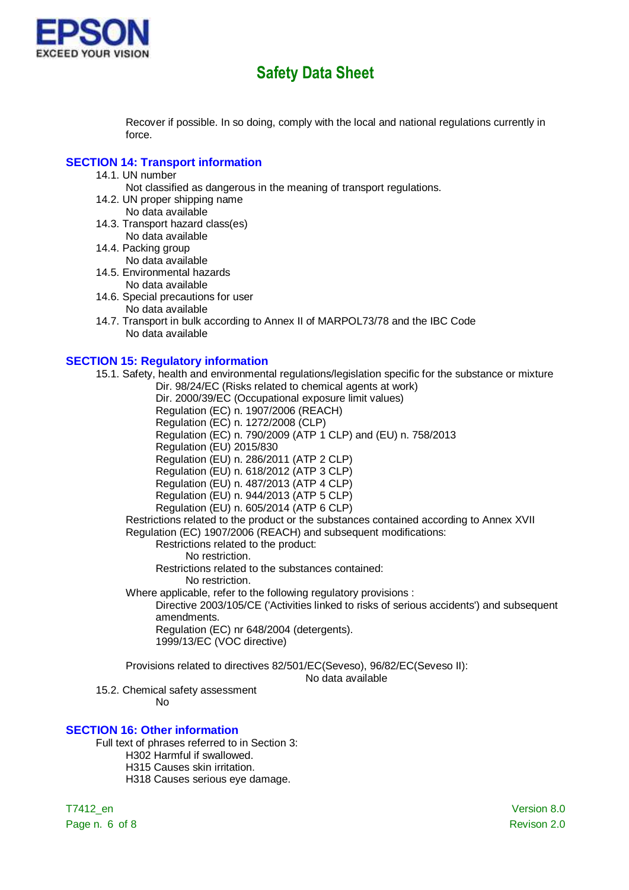

Recover if possible. In so doing, comply with the local and national regulations currently in force.

#### **SECTION 14: Transport information**

14.1. UN number

Not classified as dangerous in the meaning of transport regulations.

- 14.2. UN proper shipping name
- No data available
- 14.3. Transport hazard class(es) No data available
- 14.4. Packing group No data available
- 14.5. Environmental hazards No data available
- 14.6. Special precautions for user No data available

14.7. Transport in bulk according to Annex II of MARPOL73/78 and the IBC Code No data available

### **SECTION 15: Regulatory information**

15.1. Safety, health and environmental regulations/legislation specific for the substance or mixture Dir. 98/24/EC (Risks related to chemical agents at work)

Dir. 2000/39/EC (Occupational exposure limit values)

Regulation (EC) n. 1907/2006 (REACH)

- Regulation (EC) n. 1272/2008 (CLP)
	- Regulation (EC) n. 790/2009 (ATP 1 CLP) and (EU) n. 758/2013
	- Regulation (EU) 2015/830

Regulation (EU) n. 286/2011 (ATP 2 CLP)

Regulation (EU) n. 618/2012 (ATP 3 CLP)

Regulation (EU) n. 487/2013 (ATP 4 CLP) Regulation (EU) n. 944/2013 (ATP 5 CLP)

Regulation (EU) n. 605/2014 (ATP 6 CLP)

Restrictions related to the product or the substances contained according to Annex XVII Regulation (EC) 1907/2006 (REACH) and subsequent modifications:

Restrictions related to the product:

No restriction.

Restrictions related to the substances contained:

No restriction.

Where applicable, refer to the following regulatory provisions :

Directive 2003/105/CE ('Activities linked to risks of serious accidents') and subsequent amendments.

Regulation (EC) nr 648/2004 (detergents). 1999/13/EC (VOC directive)

Provisions related to directives 82/501/EC(Seveso), 96/82/EC(Seveso II):

No data available

15.2. Chemical safety assessment

No

#### **SECTION 16: Other information**

Full text of phrases referred to in Section 3:

- H302 Harmful if swallowed.
- H315 Causes skin irritation.

H318 Causes serious eye damage.

Page n. 6 of 8 Revison 2.0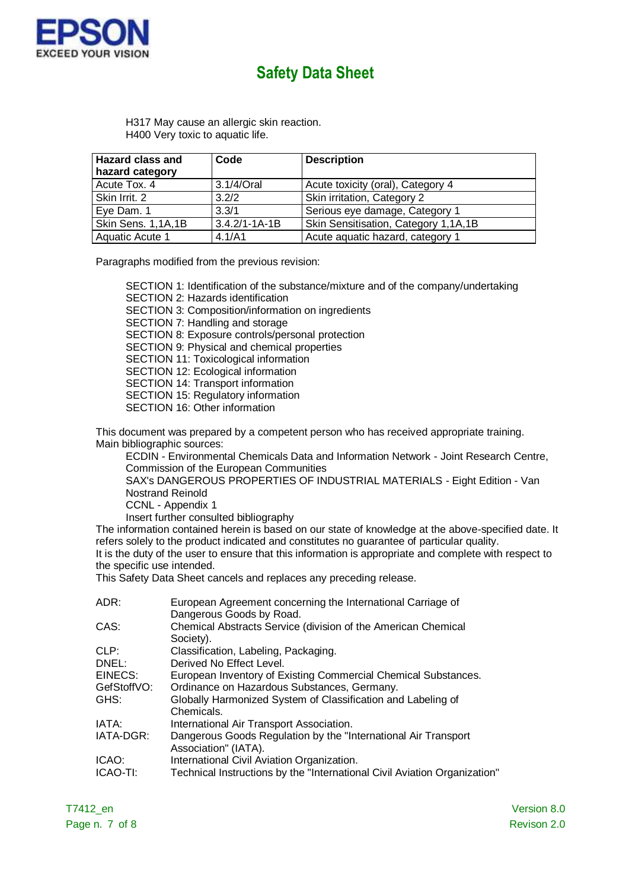

H317 May cause an allergic skin reaction. H400 Very toxic to aquatic life.

| <b>Hazard class and</b><br>hazard category | Code                | <b>Description</b>                   |
|--------------------------------------------|---------------------|--------------------------------------|
| Acute Tox. 4                               | 3.1/4/Oral          | Acute toxicity (oral), Category 4    |
| Skin Irrit. 2                              | 3.2/2               | Skin irritation, Category 2          |
| Eye Dam. 1                                 | 3.3/1               | Serious eye damage, Category 1       |
| Skin Sens. 1,1A,1B                         | $3.4.2/1 - 1A - 1B$ | Skin Sensitisation, Category 1,1A,1B |
| Aquatic Acute 1                            | 4.1/A1              | Acute aquatic hazard, category 1     |

Paragraphs modified from the previous revision:

SECTION 1: Identification of the substance/mixture and of the company/undertaking

SECTION 2: Hazards identification SECTION 3: Composition/information on ingredients SECTION 7: Handling and storage SECTION 8: Exposure controls/personal protection SECTION 9: Physical and chemical properties SECTION 11: Toxicological information SECTION 12: Ecological information SECTION 14: Transport information SECTION 15: Regulatory information SECTION 16: Other information

This document was prepared by a competent person who has received appropriate training. Main bibliographic sources:

ECDIN - Environmental Chemicals Data and Information Network - Joint Research Centre, Commission of the European Communities SAX's DANGEROUS PROPERTIES OF INDUSTRIAL MATERIALS - Eight Edition - Van Nostrand Reinold CCNL - Appendix 1

Insert further consulted bibliography

The information contained herein is based on our state of knowledge at the above-specified date. It refers solely to the product indicated and constitutes no guarantee of particular quality. It is the duty of the user to ensure that this information is appropriate and complete with respect to

the specific use intended.

This Safety Data Sheet cancels and replaces any preceding release.

| ADR:        | European Agreement concerning the International Carriage of               |
|-------------|---------------------------------------------------------------------------|
|             | Dangerous Goods by Road.                                                  |
| CAS:        | Chemical Abstracts Service (division of the American Chemical             |
|             | Society).                                                                 |
| CLP:        | Classification, Labeling, Packaging.                                      |
| DNEL:       | Derived No Effect Level.                                                  |
| EINECS:     | European Inventory of Existing Commercial Chemical Substances.            |
| GefStoffVO: | Ordinance on Hazardous Substances, Germany.                               |
| GHS:        | Globally Harmonized System of Classification and Labeling of              |
|             | Chemicals.                                                                |
| IATA:       | International Air Transport Association.                                  |
| IATA-DGR:   | Dangerous Goods Regulation by the "International Air Transport"           |
|             | Association" (IATA).                                                      |
| ICAO:       | International Civil Aviation Organization.                                |
| ICAO-TI:    | Technical Instructions by the "International Civil Aviation Organization" |
|             |                                                                           |